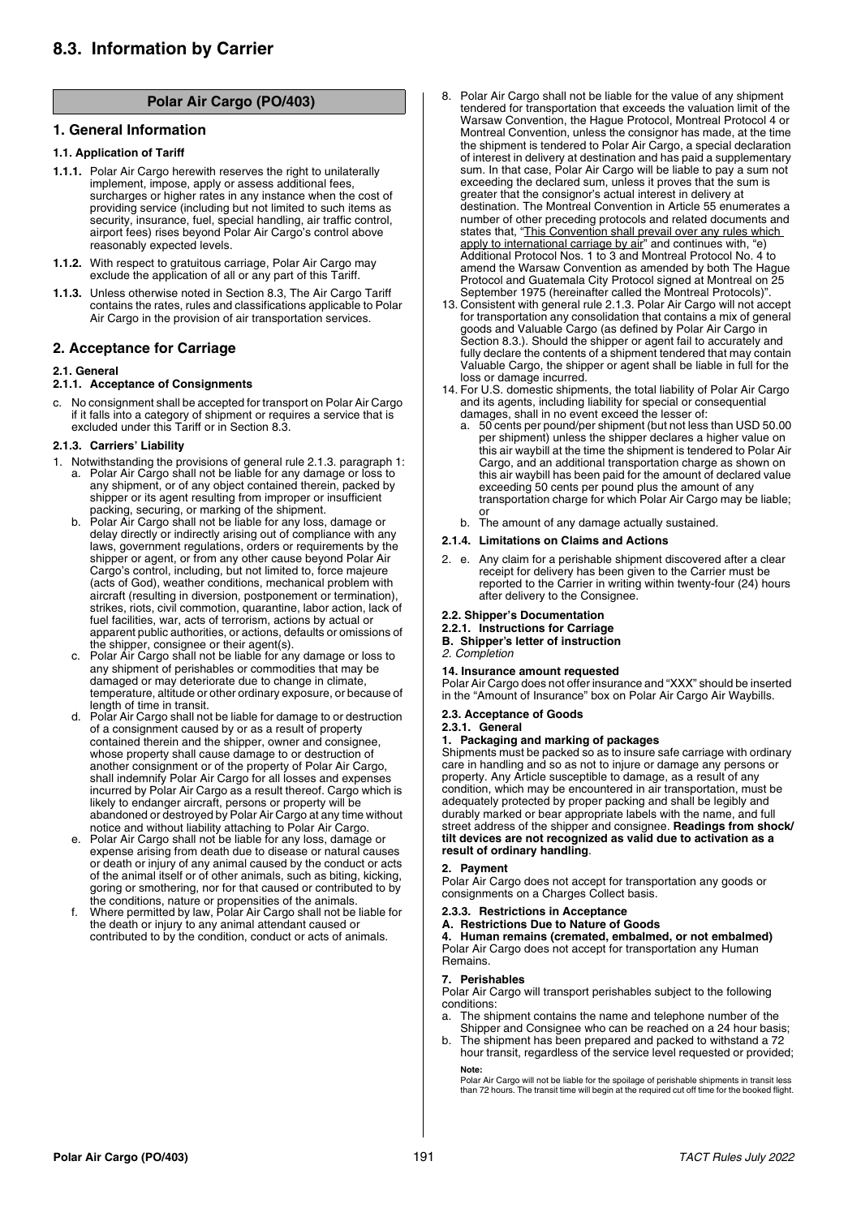# **Polar Air Cargo (PO/403)**

## **1. General Information**

## **1.1. Application of Tariff**

og raCriA raloP

- **1.1.1.** Polar Air Cargo herewith reserves the right to unilaterally implement, impose, apply or assess additional fees, surcharges or higher rates in any instance when the cost of providing service (including but not limited to such items as security, insurance, fuel, special handling, air traffic control, airport fees) rises beyond Polar Air Cargo's control above reasonably expected levels.
- **1.1.2.** With respect to gratuitous carriage, Polar Air Cargo may exclude the application of all or any part of this Tariff.
- **1.1.3.** Unless otherwise noted in Section 8.3, The Air Cargo Tariff contains the rates, rules and classifications applicable to Polar Air Cargo in the provision of air transportation services.

## **2. Acceptance for Carriage**

## **2.1. General**

## **2.1.1. Acceptance of Consignments**

c. No consignment shall be accepted for transport on Polar Air Cargo if it falls into a category of shipment or requires a service that is excluded under this Tariff or in Section 8.3.

## **2.1.3. Carriers' Liability**

- 1. Notwithstanding the provisions of general rule 2.1.3. paragraph 1: a. Polar Air Cargo shall not be liable for any damage or loss to any shipment, or of any object contained therein, packed by shipper or its agent resulting from improper or insufficient packing, securing, or marking of the shipment.
	- b. Polar Air Cargo shall not be liable for any loss, damage or delay directly or indirectly arising out of compliance with any laws, government regulations, orders or requirements by the shipper or agent, or from any other cause beyond Polar Air Cargo's control, including, but not limited to, force majeure (acts of God), weather conditions, mechanical problem with aircraft (resulting in diversion, postponement or termination), strikes, riots, civil commotion, quarantine, labor action, lack of fuel facilities, war, acts of terrorism, actions by actual or apparent public authorities, or actions, defaults or omissions of the shipper, consignee or their agent(s).
	- Polar Air Cargo shall not be liable for any damage or loss to any shipment of perishables or commodities that may be damaged or may deteriorate due to change in climate, temperature, altitude or other ordinary exposure, or because of length of time in transit.
	- d. Polar Air Cargo shall not be liable for damage to or destruction of a consignment caused by or as a result of property contained therein and the shipper, owner and consignee, whose property shall cause damage to or destruction of another consignment or of the property of Polar Air Cargo, shall indemnify Polar Air Cargo for all losses and expenses incurred by Polar Air Cargo as a result thereof. Cargo which is likely to endanger aircraft, persons or property will be abandoned or destroyed by Polar Air Cargo at any time without notice and without liability attaching to Polar Air Cargo.
	- Polar Air Cargo shall not be liable for any loss, damage or expense arising from death due to disease or natural causes or death or injury of any animal caused by the conduct or acts of the animal itself or of other animals, such as biting, kicking, goring or smothering, nor for that caused or contributed to by
	- the conditions, nature or propensities of the animals. f. Where permitted by law, Polar Air Cargo shall not be liable for the death or injury to any animal attendant caused or contributed to by the condition, conduct or acts of animals.
- 8. Polar Air Cargo shall not be liable for the value of any shipment tendered for transportation that exceeds the valuation limit of the Warsaw Convention, the Hague Protocol, Montreal Protocol 4 or Montreal Convention, unless the consignor has made, at the time the shipment is tendered to Polar Air Cargo, a special declaration of interest in delivery at destination and has paid a supplementary sum. In that case, Polar Air Cargo will be liable to pay a sum not exceeding the declared sum, unless it proves that the sum is greater that the consignor's actual interest in delivery at destination. The Montreal Convention in Article 55 enumerates a number of other preceding protocols and related documents and states that, "This Convention shall prevail over any rules which apply to international carriage by air" and continues with, "e) Additional Protocol Nos. 1 to 3 and Montreal Protocol No. 4 to amend the Warsaw Convention as amended by both The Hague Protocol and Guatemala City Protocol signed at Montreal on 25
- September 1975 (hereinafter called the Montreal Protocols)". 13. Consistent with general rule 2.1.3. Polar Air Cargo will not accept for transportation any consolidation that contains a mix of general goods and Valuable Cargo (as defined by Polar Air Cargo in Section 8.3.). Should the shipper or agent fail to accurately and fully declare the contents of a shipment tendered that may contain Valuable Cargo, the shipper or agent shall be liable in full for the loss or damage incurred.
- 14. For U.S. domestic shipments, the total liability of Polar Air Cargo and its agents, including liability for special or consequential damages, shall in no event exceed the lesser of:
	- a. 50 cents per pound/per shipment (but not less than USD 50.00 per shipment) unless the shipper declares a higher value on this air waybill at the time the shipment is tendered to Polar Air Cargo, and an additional transportation charge as shown on this air waybill has been paid for the amount of declared value exceeding 50 cents per pound plus the amount of any transportation charge for which Polar Air Cargo may be liable;
	- b. The amount of any damage actually sustained.

## **2.1.4. Limitations on Claims and Actions**

2. e. Any claim for a perishable shipment discovered after a clear receipt for delivery has been given to the Carrier must be reported to the Carrier in writing within twenty-four (24) hours after delivery to the Consignee.

## **2.2. Shipper's Documentation**

- **2.2.1. Instructions for Carriage**
- **B. Shipper's letter of instruction**

## *2. Completion*

## **14. Insurance amount requested**

Polar Air Cargo does not offer insurance and "XXX" should be inserted in the "Amount of Insurance" box on Polar Air Cargo Air Waybills.

## **2.3. Acceptance of Goods**

## **2.3.1. General**

## **1. Packaging and marking of packages**

Shipments must be packed so as to insure safe carriage with ordinary care in handling and so as not to injure or damage any persons or property. Any Article susceptible to damage, as a result of any condition, which may be encountered in air transportation, must be adequately protected by proper packing and shall be legibly and durably marked or bear appropriate labels with the name, and full street address of the shipper and consignee. **Readings from shock/ tilt devices are not recognized as valid due to activation as a result of ordinary handling**.

## **2. Payment**

Polar Air Cargo does not accept for transportation any goods or consignments on a Charges Collect basis.

## **2.3.3. Restrictions in Acceptance**

## **A. Restrictions Due to Nature of Goods**

**4. Human remains (cremated, embalmed, or not embalmed)** Polar Air Cargo does not accept for transportation any Human Remains.

## **7. Perishables**

Polar Air Cargo will transport perishables subject to the following conditions:

- a. The shipment contains the name and telephone number of the Shipper and Consignee who can be reached on a 24 hour basis;
- b. The shipment has been prepared and packed to withstand a 72 hour transit, regardless of the service level requested or provided;

# **Note:**

Polar Air Cargo will not be liable for the spoilage of perishable shipments in transit less than 72 hours. The transit time will begin at the required cut off time for the booked flight.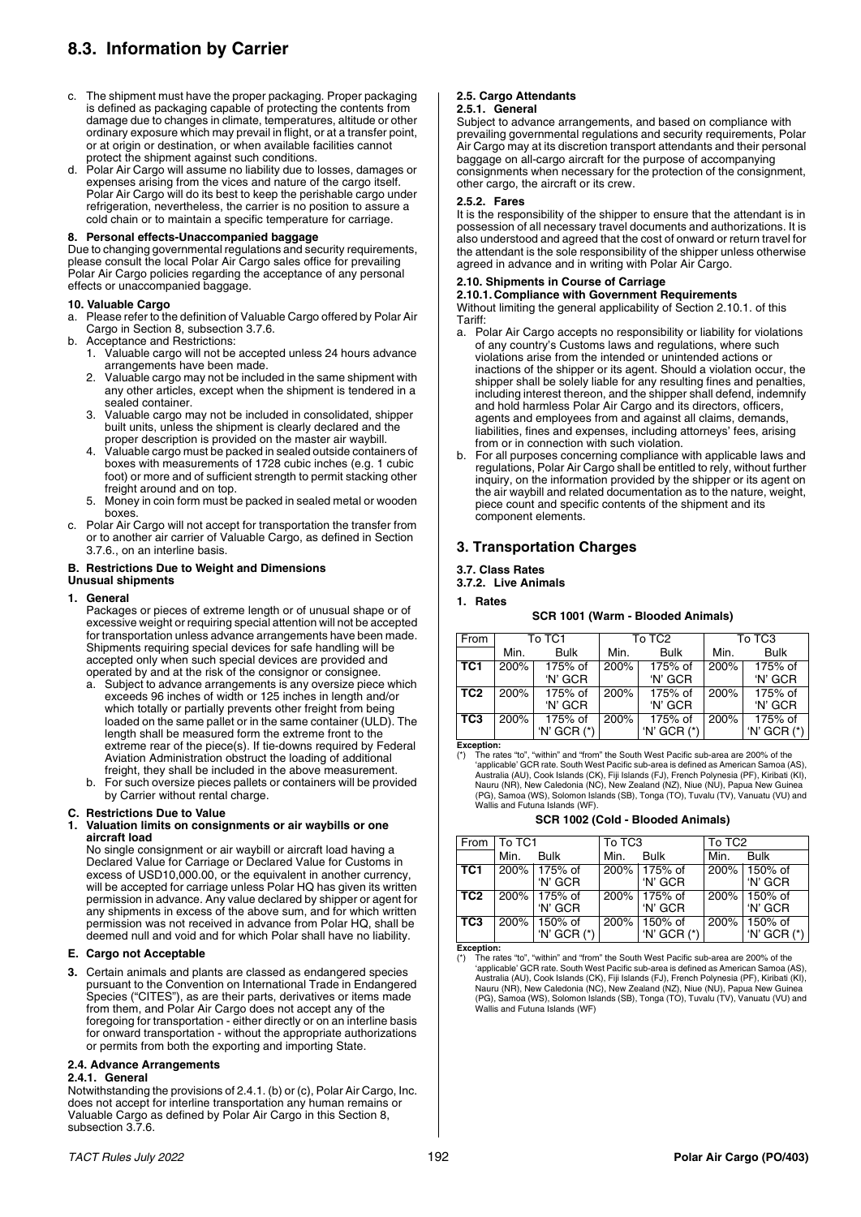# **8.3. Information by Carrier**

- c. The shipment must have the proper packaging. Proper packaging is defined as packaging capable of protecting the contents from damage due to changes in climate, temperatures, altitude or other ordinary exposure which may prevail in flight, or at a transfer point, or at origin or destination, or when available facilities cannot protect the shipment against such conditions.
- Polar Air Cargo will assume no liability due to losses, damages or expenses arising from the vices and nature of the cargo itself. Polar Air Cargo will do its best to keep the perishable cargo under refrigeration, nevertheless, the carrier is no position to assure a cold chain or to maintain a specific temperature for carriage.

## **8. Personal effects-Unaccompanied baggage**

Due to changing governmental regulations and security requirements, please consult the local Polar Air Cargo sales office for prevailing Polar Air Cargo policies regarding the acceptance of any personal effects or unaccompanied baggage.

## **10. Valuable Cargo**

- a. Please refer to the definition of Valuable Cargo offered by Polar Air Cargo in Section 8, subsection 3.7.6.
- b. Acceptance and Restrictions: 1. Valuable cargo will not be accepted unless 24 hours advance arrangements have been made.
	- 2. Valuable cargo may not be included in the same shipment with any other articles, except when the shipment is tendered in a sealed container.
	- 3. Valuable cargo may not be included in consolidated, shipper built units, unless the shipment is clearly declared and the proper description is provided on the master air waybill.
	- 4. Valuable cargo must be packed in sealed outside containers of boxes with measurements of 1728 cubic inches (e.g. 1 cubic foot) or more and of sufficient strength to permit stacking other freight around and on top.
	- 5. Money in coin form must be packed in sealed metal or wooden boxes.
- Polar Air Cargo will not accept for transportation the transfer from or to another air carrier of Valuable Cargo, as defined in Section 3.7.6., on an interline basis.

#### **B. Restrictions Due to Weight and Dimensions Unusual shipments**

## **1. General**

- Packages or pieces of extreme length or of unusual shape or of excessive weight or requiring special attention will not be accepted for transportation unless advance arrangements have been made. Shipments requiring special devices for safe handling will be accepted only when such special devices are provided and operated by and at the risk of the consignor or consignee.
- a. Subject to advance arrangements is any oversize piece which exceeds 96 inches of width or 125 inches in length and/or which totally or partially prevents other freight from being loaded on the same pallet or in the same container (ULD). The length shall be measured form the extreme front to the extreme rear of the piece(s). If tie-downs required by Federal Aviation Administration obstruct the loading of additional freight, they shall be included in the above measurement.
- b. For such oversize pieces pallets or containers will be provided by Carrier without rental charge.

## **C. Restrictions Due to Value**

#### **1. Valuation limits on consignments or air waybills or one aircraft load**

No single consignment or air waybill or aircraft load having a Declared Value for Carriage or Declared Value for Customs in excess of USD10,000.00, or the equivalent in another currency, will be accepted for carriage unless Polar HQ has given its written permission in advance. Any value declared by shipper or agent for any shipments in excess of the above sum, and for which written permission was not received in advance from Polar HQ, shall be deemed null and void and for which Polar shall have no liability.

## **E. Cargo not Acceptable**

**3.** Certain animals and plants are classed as endangered species pursuant to the Convention on International Trade in Endangered Species ("CITES"), as are their parts, derivatives or items made from them, and Polar Air Cargo does not accept any of the foregoing for transportation - either directly or on an interline basis for onward transportation - without the appropriate authorizations or permits from both the exporting and importing State.

## **2.4. Advance Arrangements**

#### **2.4.1. General**

Notwithstanding the provisions of 2.4.1. (b) or (c), Polar Air Cargo, Inc. does not accept for interline transportation any human remains or Valuable Cargo as defined by Polar Air Cargo in this Section 8, subsection 3.7.6.

# **2.5. Cargo Attendants**

## **2.5.1. General**

Subject to advance arrangements, and based on compliance with prevailing governmental regulations and security requirements, Polar Air Cargo may at its discretion transport attendants and their personal baggage on all-cargo aircraft for the purpose of accompanying consignments when necessary for the protection of the consignment, other cargo, the aircraft or its crew.

## **2.5.2. Fares**

It is the responsibility of the shipper to ensure that the attendant is in possession of all necessary travel documents and authorizations. It is also understood and agreed that the cost of onward or return travel for the attendant is the sole responsibility of the shipper unless otherwise agreed in advance and in writing with Polar Air Cargo.

## **2.10. Shipments in Course of Carriage**

#### **2.10.1. Compliance with Government Requirements**

Without limiting the general applicability of Section 2.10.1. of this Tariff:

- a. Polar Air Cargo accepts no responsibility or liability for violations of any country's Customs laws and regulations, where such violations arise from the intended or unintended actions or inactions of the shipper or its agent. Should a violation occur, the shipper shall be solely liable for any resulting fines and penalties, including interest thereon, and the shipper shall defend, indemnify and hold harmless Polar Air Cargo and its directors, officers, agents and employees from and against all claims, demands, liabilities, fines and expenses, including attorneys' fees, arising from or in connection with such violation.
- b. For all purposes concerning compliance with applicable laws and regulations, Polar Air Cargo shall be entitled to rely, without further inquiry, on the information provided by the shipper or its agent on the air waybill and related documentation as to the nature, weight, piece count and specific contents of the shipment and its component elements.

# **3. Transportation Charges**

## **3.7. Class Rates**

**3.7.2. Live Animals**

## **1. Rates**

## **SCR 1001 (Warm - Blooded Animals)**

| From            | To TC1 |               | To TC <sub>2</sub> |               | To TC3 |               |
|-----------------|--------|---------------|--------------------|---------------|--------|---------------|
|                 | Min.   | <b>Bulk</b>   | Min.               | <b>Bulk</b>   | Min.   | <b>Bulk</b>   |
| TC <sub>1</sub> | 200%   | 175% of       | 200%               | 175% of       | 200%   | 175% of       |
|                 |        | 'N' GCR       |                    | 'N' GCR       |        | 'N' GCR       |
| TC2             | 200%   | 175% of       | 200%               | 175% of       | 200%   | 175% of       |
|                 |        | 'N' GCR       |                    | 'N' GCR       |        | 'N' GCR       |
| TC <sub>3</sub> | 200%   | 175% of       | 200%               | 175% of       | 200%   | 175% of       |
|                 |        | 'N' GCR $(*)$ |                    | 'N' GCR $(*)$ |        | 'N' GCR $(*)$ |

**Exception:**

(\*) The rates "to", "within" and "from" the South West Pacific sub-area are 200% of the 'applicable' GCR rate. South West Pacific sub-area is defined as American Samoa (AS), Australia (AU), Cook Islands (CK), Fiji Islands (FJ), French Polynesia (PF), Kiribati (KI), Nauru (NR), New Caledonia (NC), New Zealand (NZ), Niue (NU), Papua New Guinea (PG), Samoa (WS), Solomon Islands (SB), Tonga (TO), Tuvalu (TV), Vanuatu (VU) and Wallis and Futuna Islands (WF).

## **SCR 1002 (Cold - Blooded Animals)**

| From            | I To TC1 |                               | To TC3 |                               | To TC <sub>2</sub> |                               |
|-----------------|----------|-------------------------------|--------|-------------------------------|--------------------|-------------------------------|
|                 | Min.     | <b>Bulk</b>                   | Min.   | <b>Bulk</b>                   | Min.               | <b>Bulk</b>                   |
| TC <sub>1</sub> |          | 200% 175% of<br>'N' GCR       |        | 200% 175% of<br>'N' GCR       |                    | 200% 150% of<br>'N' GCR       |
| TC <sub>2</sub> |          | 200% 175% of<br>'N' GCR       |        | 200% 175% of<br>'N' GCR       |                    | 200% 150% of<br>'N' GCR       |
| TC <sub>3</sub> |          | 200% 150% of<br>'N' GCR $(*)$ |        | 200% 150% of<br>'N' GCR $(*)$ |                    | 200% 150% of<br>'N' GCR $(*)$ |

**Exception:**

(\*) The rates "to", "within" and "from" the South West Pacific sub-area are 200% of the ʻapplicable' GCR rate. South West Pacific sub-area is defined as American Samoa (AS),<br>Australia (AU), Cook Islands (CK), Fiji Islands (FJ), French Polynesia (PF), Kiribati (KI),<br>Nauru (NR), New Caledonia (NC), New Zealand Wallis and Futuna Islands (WF)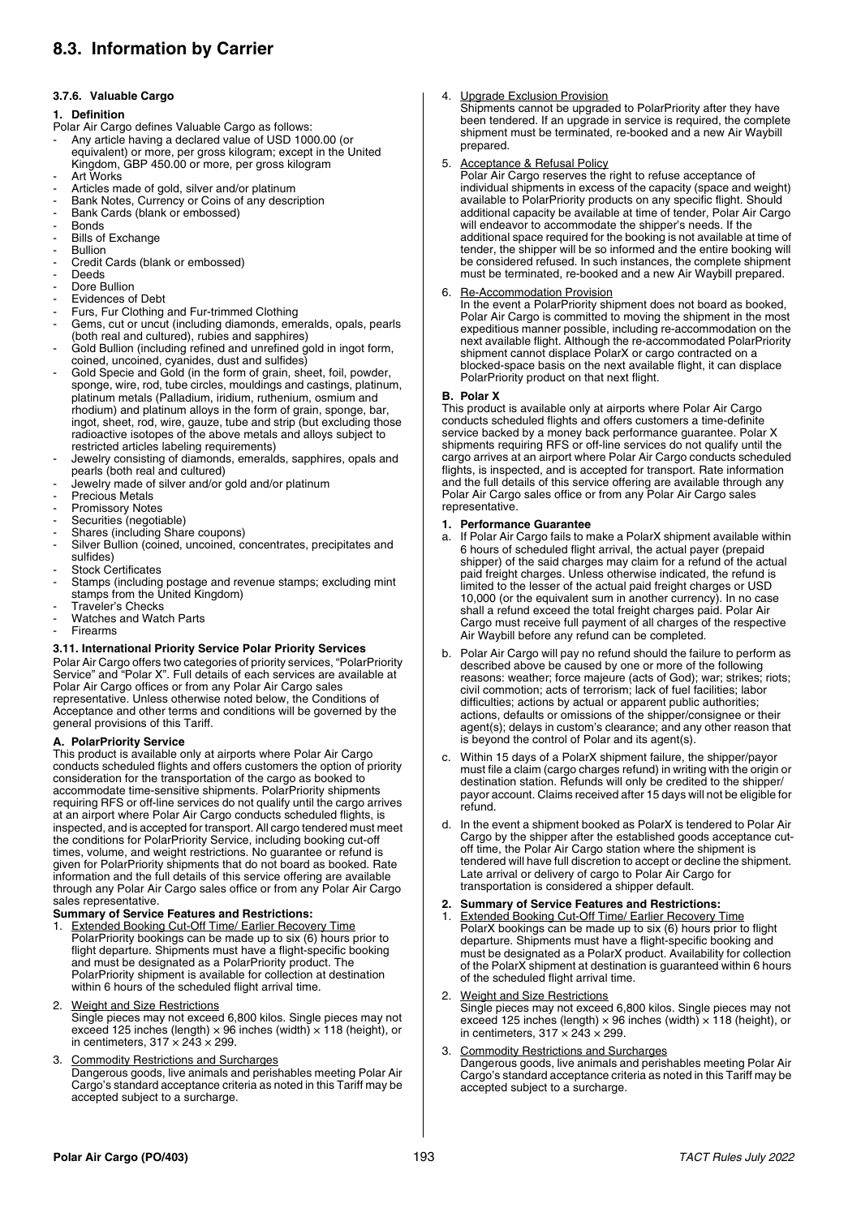# **8.3. Information by Carrier**

## **3.7.6. Valuable Cargo**

## **1. Definition**

- Polar Air Cargo defines Valuable Cargo as follows:
- Any article having a declared value of USD 1000.00 (or equivalent) or more, per gross kilogram; except in the United Kingdom, GBP 450.00 or more, per gross kilogram
- **Art Works**
- Articles made of gold, silver and/or platinum
- Bank Notes, Currency or Coins of any description
- Bank Cards (blank or embossed)
- **Bonds**
- Bills of Exchange
- **Bullion**
- Credit Cards (blank or embossed)
- Deeds
- Dore Bullion
- Evidences of Debt
- Furs, Fur Clothing and Fur-trimmed Clothing
- Gems, cut or uncut (including diamonds, emeralds, opals, pearls (both real and cultured), rubies and sapphires)
- Gold Bullion (including refined and unrefined gold in ingot form, coined, uncoined, cyanides, dust and sulfides)
- Gold Specie and Gold (in the form of grain, sheet, foil, powder, sponge, wire, rod, tube circles, mouldings and castings, platinum, platinum metals (Palladium, iridium, ruthenium, osmium and rhodium) and platinum alloys in the form of grain, sponge, bar, ingot, sheet, rod, wire, gauze, tube and strip (but excluding those radioactive isotopes of the above metals and alloys subject to restricted articles labeling requirements)
- Jewelry consisting of diamonds, emeralds, sapphires, opals and pearls (both real and cultured)
- Jewelry made of silver and/or gold and/or platinum
- Precious Metals
- Promissory Notes
- Securities (negotiable)
- Shares (including Share coupons)
- Silver Bullion (coined, uncoined, concentrates, precipitates and sulfides)
- Stock Certificates
- Stamps (including postage and revenue stamps; excluding mint stamps from the United Kingdom)
- Traveler's Checks
- Watches and Watch Parts
- **Firearms**

## **3.11. International Priority Service Polar Priority Services**

Polar Air Cargo offers two categories of priority services, "PolarPriority Service" and "Polar X". Full details of each services are available at Polar Air Cargo offices or from any Polar Air Cargo sales representative. Unless otherwise noted below, the Conditions of Acceptance and other terms and conditions will be governed by the general provisions of this Tariff.

## **A. PolarPriority Service**

This product is available only at airports where Polar Air Cargo conducts scheduled flights and offers customers the option of priority consideration for the transportation of the cargo as booked to accommodate time-sensitive shipments. PolarPriority shipments requiring RFS or off-line services do not qualify until the cargo arrives at an airport where Polar Air Cargo conducts scheduled flights, is inspected, and is accepted for transport. All cargo tendered must meet the conditions for PolarPriority Service, including booking cut-off times, volume, and weight restrictions. No guarantee or refund is given for PolarPriority shipments that do not board as booked. Rate information and the full details of this service offering are available through any Polar Air Cargo sales office or from any Polar Air Cargo sales representative.

# **Summary of Service Features and Restrictions:**

1. Extended Booking Cut-Off Time/ Earlier Recovery Time PolarPriority bookings can be made up to six (6) hours prior to flight departure. Shipments must have a flight-specific booking and must be designated as a PolarPriority product. The PolarPriority shipment is available for collection at destination within 6 hours of the scheduled flight arrival time.

## 2. Weight and Size Restrictions

Single pieces may not exceed 6,800 kilos. Single pieces may not exceed 125 inches (length)  $\times$  96 inches (width)  $\times$  118 (height), or in centimeters,  $317 \times 243 \times 299$ .

# 3. Commodity Restrictions and Surcharges

Dangerous goods, live animals and perishables meeting Polar Air Cargo's standard acceptance criteria as noted in this Tariff may be accepted subject to a surcharge.

## 4. Upgrade Exclusion Provision

Shipments cannot be upgraded to PolarPriority after they have been tendered. If an upgrade in service is required, the complete shipment must be terminated, re-booked and a new Air Waybill prepared.

## 5. Acceptance & Refusal Policy

Polar Air Cargo reserves the right to refuse acceptance of individual shipments in excess of the capacity (space and weight) available to PolarPriority products on any specific flight. Should additional capacity be available at time of tender, Polar Air Cargo will endeavor to accommodate the shipper's needs. If the additional space required for the booking is not available at time of tender, the shipper will be so informed and the entire booking will be considered refused. In such instances, the complete shipment must be terminated, re-booked and a new Air Waybill prepared.

## 6. Re-Accommodation Provision

In the event a PolarPriority shipment does not board as booked, Polar Air Cargo is committed to moving the shipment in the most expeditious manner possible, including re-accommodation on the next available flight. Although the re-accommodated PolarPriority shipment cannot displace PolarX or cargo contracted on a blocked-space basis on the next available flight, it can displace PolarPriority product on that next flight.

## **B. Polar X**

This product is available only at airports where Polar Air Cargo conducts scheduled flights and offers customers a time-definite service backed by a money back performance guarantee. Polar X shipments requiring RFS or off-line services do not qualify until the cargo arrives at an airport where Polar Air Cargo conducts scheduled flights, is inspected, and is accepted for transport. Rate information and the full details of this service offering are available through any Polar Air Cargo sales office or from any Polar Air Cargo sales representative.

## **1. Performance Guarantee**

- a. If Polar Air Cargo fails to make a PolarX shipment available within 6 hours of scheduled flight arrival, the actual payer (prepaid shipper) of the said charges may claim for a refund of the actual paid freight charges. Unless otherwise indicated, the refund is limited to the lesser of the actual paid freight charges or USD 10,000 (or the equivalent sum in another currency). In no case shall a refund exceed the total freight charges paid. Polar Air Cargo must receive full payment of all charges of the respective Air Waybill before any refund can be completed.
- b. Polar Air Cargo will pay no refund should the failure to perform as described above be caused by one or more of the following reasons: weather; force majeure (acts of God); war; strikes; riots; civil commotion; acts of terrorism; lack of fuel facilities; labor difficulties; actions by actual or apparent public authorities; actions, defaults or omissions of the shipper/consignee or their agent(s); delays in custom's clearance; and any other reason that is beyond the control of Polar and its agent(s).
- Within 15 days of a PolarX shipment failure, the shipper/payor must file a claim (cargo charges refund) in writing with the origin or destination station. Refunds will only be credited to the shipper/ payor account. Claims received after 15 days will not be eligible for refund.
- d. In the event a shipment booked as PolarX is tendered to Polar Air Cargo by the shipper after the established goods acceptance cutoff time, the Polar Air Cargo station where the shipment is tendered will have full discretion to accept or decline the shipment. Late arrival or delivery of cargo to Polar Air Cargo for transportation is considered a shipper default.

## **2. Summary of Service Features and Restrictions:**

**Extended Booking Cut-Off Time/ Earlier Recovery Time** PolarX bookings can be made up to six (6) hours prior to flight departure. Shipments must have a flight-specific booking and must be designated as a PolarX product. Availability for collection of the PolarX shipment at destination is guaranteed within 6 hours of the scheduled flight arrival time.

## **Weight and Size Restrictions**

Single pieces may not exceed 6,800 kilos. Single pieces may not exceed 125 inches (length)  $\times$  96 inches (width)  $\times$  118 (height), or in centimeters,  $317 \times 243 \times 299$ .

## **Commodity Restrictions and Surcharges**

Dangerous goods, live animals and perishables meeting Polar Air Cargo's standard acceptance criteria as noted in this Tariff may be accepted subject to a surcharge.